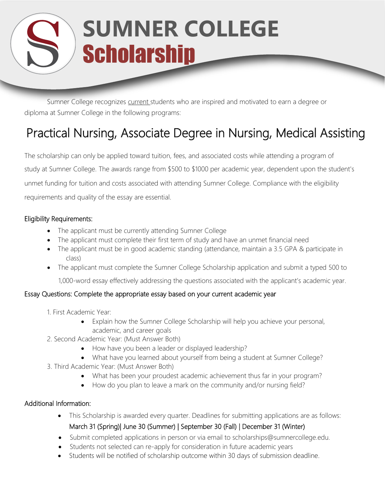## **SUMNER COLLEGE Scholarship**

Sumner College recognizes current students who are inspired and motivated to earn a degree or diploma at Sumner College in the following programs:

### Practical Nursing, Associate Degree in Nursing, Medical Assisting

The scholarship can only be applied toward tuition, fees, and associated costs while attending a program of study at Sumner College. The awards range from \$500 to \$1000 per academic year, dependent upon the student's unmet funding for tuition and costs associated with attending Sumner College. Compliance with the eligibility requirements and quality of the essay are essential.

#### Eligibility Requirements:

- The applicant must be currently attending Sumner College
- The applicant must complete their first term of study and have an unmet financial need
- The applicant must be in good academic standing (attendance, maintain a 3.5 GPA & participate in class)
- The applicant must complete the Sumner College Scholarship application and submit a typed 500 to

1,000-word essay effectively addressing the questions associated with the applicant's academic year.

#### Essay Questions: Complete the appropriate essay based on your current academic year

- 1. First Academic Year:
	- Explain how the Sumner College Scholarship will help you achieve your personal, academic, and career goals
- 2. Second Academic Year: (Must Answer Both)
	- How have you been a leader or displayed leadership?
	- What have you learned about yourself from being a student at Sumner College?
- 3. Third Academic Year: (Must Answer Both)
	- What has been your proudest academic achievement thus far in your program?
	- How do you plan to leave a mark on the community and/or nursing field?

#### Additional Information:

- This Scholarship is awarded every quarter. Deadlines for submitting applications are as follows: March 31 (Spring)| June 30 (Summer) | September 30 (Fall) | December 31 (Winter)
- Submit completed applications in person or via email [to scholarships@sumnercollege.edu.](mailto:scholarships@sumnercollege.edu)
- Students not selected can re-apply for consideration in future academic years
- Students will be notified of scholarship outcome within 30 days of submission deadline.